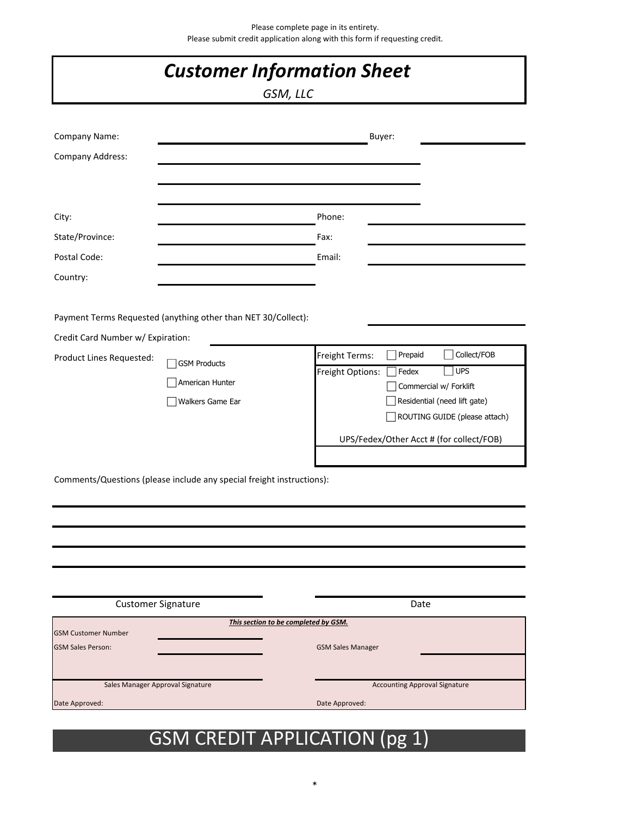| <b>Customer Information Sheet</b><br>GSM, LLC          |                                                                       |                                             |                                                                                                                                                                             |  |  |  |  |
|--------------------------------------------------------|-----------------------------------------------------------------------|---------------------------------------------|-----------------------------------------------------------------------------------------------------------------------------------------------------------------------------|--|--|--|--|
| Company Name:<br><b>Company Address:</b>               |                                                                       | Buyer:                                      |                                                                                                                                                                             |  |  |  |  |
| City:<br>State/Province:<br>Postal Code:<br>Country:   |                                                                       | Phone:<br>Fax:<br>Email:                    |                                                                                                                                                                             |  |  |  |  |
| Credit Card Number w/ Expiration:                      | Payment Terms Requested (anything other than NET 30/Collect):         |                                             |                                                                                                                                                                             |  |  |  |  |
| Product Lines Requested:                               | <b>GSM Products</b><br>American Hunter<br>Walkers Game Ear            | Freight Terms:<br>Freight Options:<br>Fedex | Collect/FOB<br>Prepaid<br><b>UPS</b><br>Commercial w/ Forklift<br>Residential (need lift gate)<br>ROUTING GUIDE (please attach)<br>UPS/Fedex/Other Acct # (for collect/FOB) |  |  |  |  |
|                                                        | Comments/Questions (please include any special freight instructions): |                                             |                                                                                                                                                                             |  |  |  |  |
| <b>Customer Signature</b>                              |                                                                       |                                             | Date                                                                                                                                                                        |  |  |  |  |
|                                                        | This section to be completed by GSM.                                  |                                             |                                                                                                                                                                             |  |  |  |  |
| <b>GSM Customer Number</b><br><b>GSM Sales Person:</b> |                                                                       | <b>GSM Sales Manager</b>                    |                                                                                                                                                                             |  |  |  |  |
| Sales Manager Approval Signature<br>Date Approved:     |                                                                       | Date Approved:                              | <b>Accounting Approval Signature</b>                                                                                                                                        |  |  |  |  |

# GSM CREDIT APPLICATION (pg 1)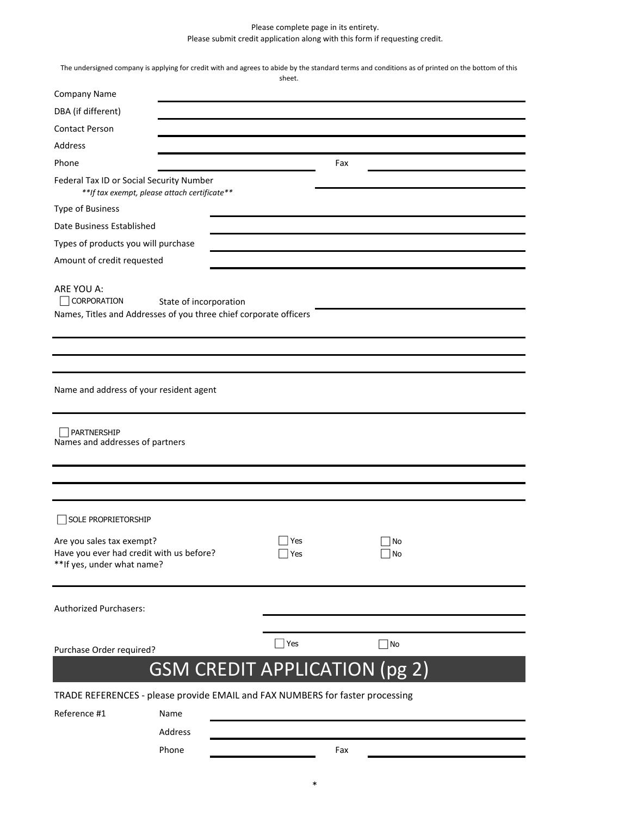## Please complete page in its entirety. Please submit credit application along with this form if requesting credit.

|                                                                                                     |                                                                                             | sheet.                                                                        | The undersigned company is applying for credit with and agrees to abide by the standard terms and conditions as of printed on the bottom of this |  |
|-----------------------------------------------------------------------------------------------------|---------------------------------------------------------------------------------------------|-------------------------------------------------------------------------------|--------------------------------------------------------------------------------------------------------------------------------------------------|--|
| Company Name                                                                                        |                                                                                             |                                                                               |                                                                                                                                                  |  |
| DBA (if different)                                                                                  |                                                                                             |                                                                               |                                                                                                                                                  |  |
| <b>Contact Person</b>                                                                               |                                                                                             |                                                                               |                                                                                                                                                  |  |
| Address                                                                                             |                                                                                             |                                                                               |                                                                                                                                                  |  |
| Phone                                                                                               |                                                                                             |                                                                               | Fax                                                                                                                                              |  |
| Federal Tax ID or Social Security Number                                                            | **If tax exempt, please attach certificate**                                                |                                                                               |                                                                                                                                                  |  |
| Type of Business                                                                                    |                                                                                             |                                                                               |                                                                                                                                                  |  |
| Date Business Established                                                                           |                                                                                             |                                                                               |                                                                                                                                                  |  |
| Types of products you will purchase                                                                 |                                                                                             |                                                                               |                                                                                                                                                  |  |
| Amount of credit requested                                                                          |                                                                                             |                                                                               |                                                                                                                                                  |  |
| ARE YOU A:<br>$\Box$ CORPORATION                                                                    | State of incorporation<br>Names, Titles and Addresses of you three chief corporate officers |                                                                               |                                                                                                                                                  |  |
|                                                                                                     |                                                                                             |                                                                               |                                                                                                                                                  |  |
| Name and address of your resident agent                                                             |                                                                                             |                                                                               |                                                                                                                                                  |  |
| PARTNERSHIP<br>Names and addresses of partners                                                      |                                                                                             |                                                                               |                                                                                                                                                  |  |
|                                                                                                     |                                                                                             |                                                                               |                                                                                                                                                  |  |
| SOLE PROPRIETORSHIP                                                                                 |                                                                                             |                                                                               |                                                                                                                                                  |  |
| Are you sales tax exempt?<br>Have you ever had credit with us before?<br>**If yes, under what name? |                                                                                             | Yes<br>Yes                                                                    | No<br>No                                                                                                                                         |  |
| <b>Authorized Purchasers:</b>                                                                       |                                                                                             |                                                                               |                                                                                                                                                  |  |
|                                                                                                     |                                                                                             | Yes                                                                           | $\Box$ No                                                                                                                                        |  |
| Purchase Order required?                                                                            |                                                                                             |                                                                               |                                                                                                                                                  |  |
|                                                                                                     |                                                                                             | <b>GSM CREDIT APPLICATION (pg 2)</b>                                          |                                                                                                                                                  |  |
|                                                                                                     |                                                                                             | TRADE REFERENCES - please provide EMAIL and FAX NUMBERS for faster processing |                                                                                                                                                  |  |
| Reference #1                                                                                        | Name                                                                                        |                                                                               |                                                                                                                                                  |  |
|                                                                                                     | Address                                                                                     |                                                                               |                                                                                                                                                  |  |
|                                                                                                     | Phone                                                                                       |                                                                               | Fax                                                                                                                                              |  |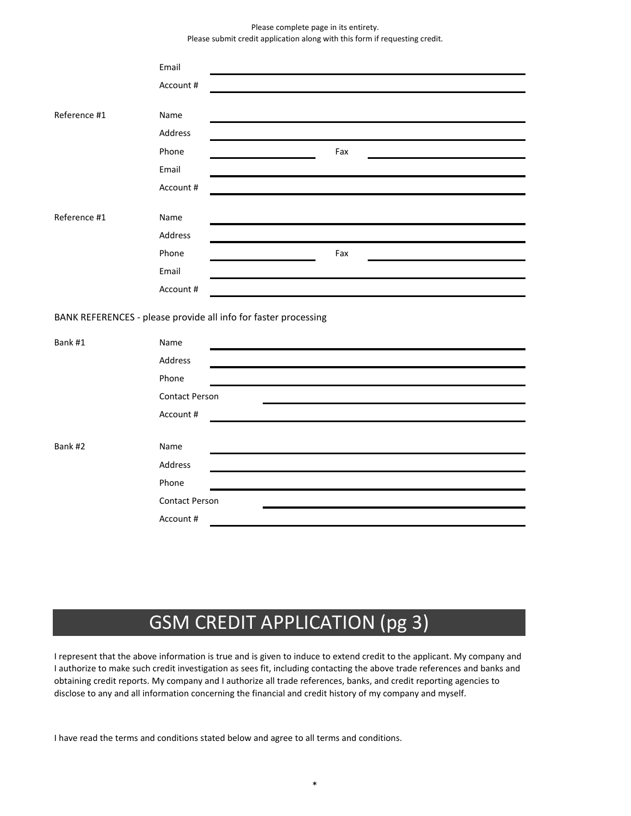#### Please complete page in its entirety. Please submit credit application along with this form if requesting credit.

|                                                                 | Email                 |  |     |  |  |
|-----------------------------------------------------------------|-----------------------|--|-----|--|--|
|                                                                 | Account#              |  |     |  |  |
|                                                                 |                       |  |     |  |  |
| Reference #1                                                    | Name                  |  |     |  |  |
|                                                                 | Address               |  |     |  |  |
|                                                                 | Phone                 |  | Fax |  |  |
|                                                                 | Email                 |  |     |  |  |
|                                                                 | Account #             |  |     |  |  |
|                                                                 |                       |  |     |  |  |
| Reference #1                                                    | Name                  |  |     |  |  |
|                                                                 | Address               |  |     |  |  |
|                                                                 | Phone                 |  | Fax |  |  |
|                                                                 | Email                 |  |     |  |  |
|                                                                 | Account #             |  |     |  |  |
| BANK REFERENCES - please provide all info for faster processing |                       |  |     |  |  |
| Bank #1                                                         | Name                  |  |     |  |  |
|                                                                 | Address               |  |     |  |  |
|                                                                 | Phone                 |  |     |  |  |
|                                                                 | <b>Contact Person</b> |  |     |  |  |
|                                                                 | Account #             |  |     |  |  |
|                                                                 |                       |  |     |  |  |
| Bank #2                                                         | Name                  |  |     |  |  |
|                                                                 | Address               |  |     |  |  |
|                                                                 | Phone                 |  |     |  |  |
|                                                                 | <b>Contact Person</b> |  |     |  |  |
|                                                                 | Account#              |  |     |  |  |
|                                                                 |                       |  |     |  |  |

# GSM CREDIT APPLICATION (pg 3)

I represent that the above information is true and is given to induce to extend credit to the applicant. My company and I authorize to make such credit investigation as sees fit, including contacting the above trade references and banks and obtaining credit reports. My company and I authorize all trade references, banks, and credit reporting agencies to disclose to any and all information concerning the financial and credit history of my company and myself.

I have read the terms and conditions stated below and agree to all terms and conditions.